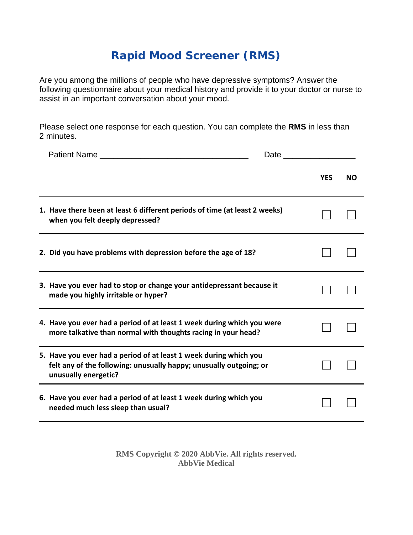## **Rapid Mood Screener (RMS)**

Are you among the millions of people who have depressive symptoms? Answer the following questionnaire about your medical history and provide it to your doctor or nurse to assist in an important conversation about your mood.

Please select one response for each question. You can complete the **RMS** in less than 2 minutes.

|                                                                                                                                                                 | Date and the state of the state of the state of the state of the state of the state of the state of the state o |           |  |
|-----------------------------------------------------------------------------------------------------------------------------------------------------------------|-----------------------------------------------------------------------------------------------------------------|-----------|--|
|                                                                                                                                                                 | <b>YES</b>                                                                                                      | <b>NO</b> |  |
| 1. Have there been at least 6 different periods of time (at least 2 weeks)<br>when you felt deeply depressed?                                                   |                                                                                                                 |           |  |
| 2. Did you have problems with depression before the age of 18?                                                                                                  |                                                                                                                 |           |  |
| 3. Have you ever had to stop or change your antidepressant because it<br>made you highly irritable or hyper?                                                    |                                                                                                                 |           |  |
| 4. Have you ever had a period of at least 1 week during which you were<br>more talkative than normal with thoughts racing in your head?                         |                                                                                                                 |           |  |
| 5. Have you ever had a period of at least 1 week during which you<br>felt any of the following: unusually happy; unusually outgoing; or<br>unusually energetic? |                                                                                                                 |           |  |
| 6. Have you ever had a period of at least 1 week during which you<br>needed much less sleep than usual?                                                         |                                                                                                                 |           |  |

**RMS Copyright © 2020 AbbVie. All rights reserved. AbbVie Medical**